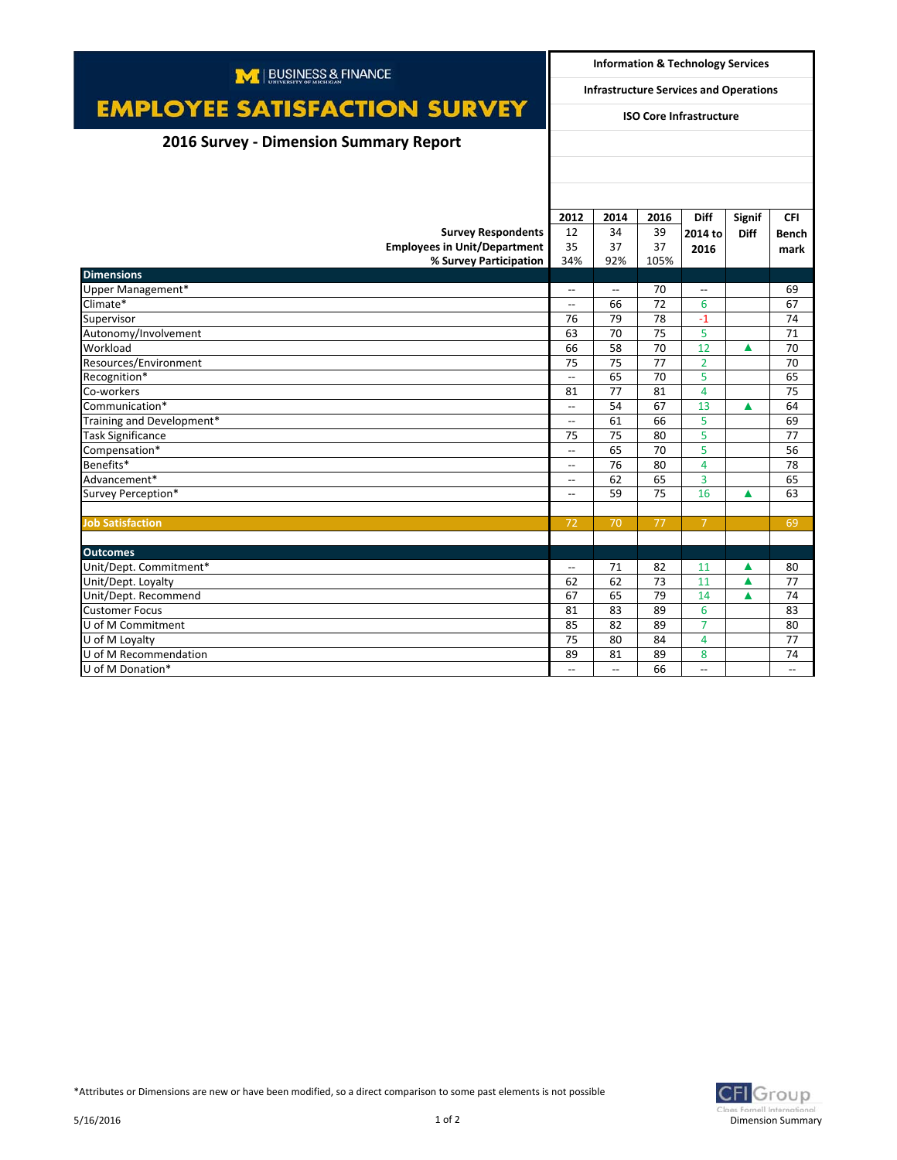| M   BUSINESS & FINANCE                 |                                                     | <b>Information &amp; Technology Services</b>  |      |                          |               |                          |  |
|----------------------------------------|-----------------------------------------------------|-----------------------------------------------|------|--------------------------|---------------|--------------------------|--|
|                                        |                                                     | <b>Infrastructure Services and Operations</b> |      |                          |               |                          |  |
| <b>EMPLOYEE SATISFACTION SURVEY</b>    | <b>ISO Core Infrastructure</b>                      |                                               |      |                          |               |                          |  |
| 2016 Survey - Dimension Summary Report |                                                     |                                               |      |                          |               |                          |  |
|                                        |                                                     |                                               |      |                          |               |                          |  |
|                                        |                                                     |                                               |      |                          |               |                          |  |
|                                        |                                                     |                                               |      |                          |               |                          |  |
|                                        | 2012                                                | 2014                                          | 2016 | <b>Diff</b>              | <b>Signif</b> | <b>CFI</b>               |  |
| <b>Survey Respondents</b>              | 12                                                  | 34                                            | 39   | 2014 to                  | <b>Diff</b>   | <b>Bench</b>             |  |
| <b>Employees in Unit/Department</b>    | 35                                                  | 37                                            | 37   | 2016                     |               | mark                     |  |
| % Survey Participation                 | 34%                                                 | 92%                                           | 105% |                          |               |                          |  |
| <b>Dimensions</b>                      |                                                     |                                               |      |                          |               |                          |  |
| Upper Management*                      | $\overline{\phantom{a}}$                            | $\overline{\phantom{a}}$                      | 70   | $\overline{\phantom{a}}$ |               | 69                       |  |
| Climate*                               | $\overline{\phantom{a}}$                            | 66                                            | 72   | 6                        |               | 67                       |  |
| Supervisor                             | 76                                                  | 79                                            | 78   | $-1$                     |               | 74                       |  |
| Autonomy/Involvement                   | 63                                                  | 70                                            | 75   | 5                        |               | 71                       |  |
| Workload                               | 66                                                  | 58                                            | 70   | 12                       | ▲             | 70                       |  |
| Resources/Environment                  | 75                                                  | 75                                            | 77   | $\overline{2}$           |               | 70                       |  |
| Recognition*                           | <u></u>                                             | 65                                            | 70   | 5                        |               | 65                       |  |
| Co-workers                             | 81                                                  | 77                                            | 81   | $\overline{4}$           |               | 75                       |  |
| Communication*                         | $\hspace{0.05cm} -\hspace{0.05cm} -\hspace{0.05cm}$ | 54                                            | 67   | 13                       | ▲             | 64                       |  |
| Training and Development*              | $\hspace{0.05cm} \ldots$                            | 61                                            | 66   | 5                        |               | 69                       |  |
| <b>Task Significance</b>               | 75                                                  | 75                                            | 80   | 5                        |               | 77                       |  |
| Compensation*                          | $\overline{\phantom{a}}$                            | 65                                            | 70   | 5                        |               | 56                       |  |
| Benefits*                              | $\hspace{0.05cm} -\hspace{0.05cm} -\hspace{0.05cm}$ | 76                                            | 80   | 4                        |               | 78                       |  |
| Advancement*                           | $\overline{a}$                                      | 62                                            | 65   | 3                        |               | 65                       |  |
| Survey Perception*                     | $\overline{a}$                                      | 59                                            | 75   | 16                       | ▲             | 63                       |  |
|                                        |                                                     |                                               |      |                          |               |                          |  |
| <b>Job Satisfaction</b>                | 72                                                  | 70                                            | 77   | $\overline{7}$           |               | 69                       |  |
|                                        |                                                     |                                               |      |                          |               |                          |  |
| <b>Outcomes</b>                        |                                                     |                                               |      |                          |               |                          |  |
| Unit/Dept. Commitment*                 | $\overline{\phantom{a}}$                            | 71                                            | 82   | 11                       | ▲             | 80                       |  |
| Unit/Dept. Loyalty                     | 62                                                  | 62                                            | 73   | 11                       | Δ             | 77                       |  |
| Unit/Dept. Recommend                   | 67                                                  | 65                                            | 79   | 14                       | ▲             | 74                       |  |
| <b>Customer Focus</b>                  | 81                                                  | 83                                            | 89   | 6                        |               | 83                       |  |
| U of M Commitment                      | 85                                                  | 82                                            | 89   | $\overline{7}$           |               | 80                       |  |
| U of M Loyalty                         | 75                                                  | 80                                            | 84   | 4                        |               | 77                       |  |
| U of M Recommendation                  | 89                                                  | 81                                            | 89   | 8                        |               | 74                       |  |
| U of M Donation*                       | $\overline{\phantom{a}}$                            | $\overline{\phantom{a}}$                      | 66   | $\overline{\phantom{a}}$ |               | $\overline{\phantom{a}}$ |  |